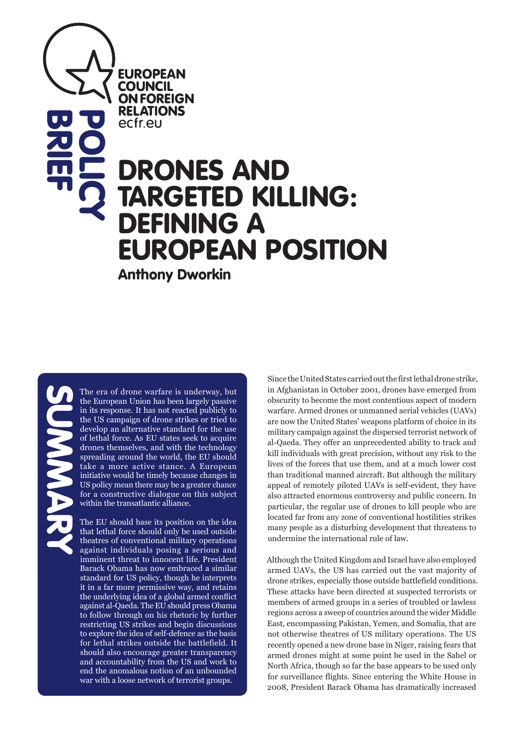**EUROPEAN COUNCIL ON FOREIGN RELATIONS** ecfreu

# DRONES AND TARGETED KILLING: DEFINING A EUROPEAN POSITION **POLICY**

Anthony Dworkin

**BRIEF**<br>BRIEF

The era of drone warfare is underway, but the European Union has been largely passive in its response. It has not reacted publicly to the US campaign of drone strikes or tried to develop an alternative standard for the use of lethal force. As EU states seek to acquire drones themselves, and with the technology spreading around the world, the EU should take a more active stance. A European initiative would be timely because changes in US policy mean there may be a greater chance for a constructive dialogue on this subject within the transatlantic alliance.

The EU should base its position on the idea that lethal force should only be used outside theatres of conventional military operations against individuals posing a serious and imminent threat to innocent life. President Barack Obama has now embraced a similar standard for US policy, though he interprets it in a far more permissive way, and retains the underlying idea of a global armed conflict against al-Qaeda. The EU should press Obama to follow through on his rhetoric by further restricting US strikes and begin discussions to explore the idea of self-defence as the basis for lethal strikes outside the battlefield. It should also encourage greater transparency and accountability from the US and work to end the anomalous notion of an unbounded war with a loose network of terrorist groups.

Since the United States carried out the first lethal drone strike, in Afghanistan in October 2001, drones have emerged from obscurity to become the most contentious aspect of modern warfare. Armed drones or unmanned aerial vehicles (UAVs) are now the United States' weapons platform of choice in its military campaign against the dispersed terrorist network of al-Qaeda. They offer an unprecedented ability to track and kill individuals with great precision, without any risk to the lives of the forces that use them, and at a much lower cost than traditional manned aircraft. But although the military appeal of remotely piloted UAVs is self-evident, they have also attracted enormous controversy and public concern. In particular, the regular use of drones to kill people who are located far from any zone of conventional hostilities strikes many people as a disturbing development that threatens to undermine the international rule of law.

Although the United Kingdom and Israel have also employed armed UAVs, the US has carried out the vast majority of drone strikes, especially those outside battlefield conditions. These attacks have been directed at suspected terrorists or members of armed groups in a series of troubled or lawless regions across a sweep of countries around the wider Middle East, encompassing Pakistan, Yemen, and Somalia, that are not otherwise theatres of US military operations. The US recently opened a new drone base in Niger, raising fears that armed drones might at some point be used in the Sahel or North Africa, though so far the base appears to be used only for surveillance flights. Since entering the White House in 2008, President Barack Obama has dramatically increased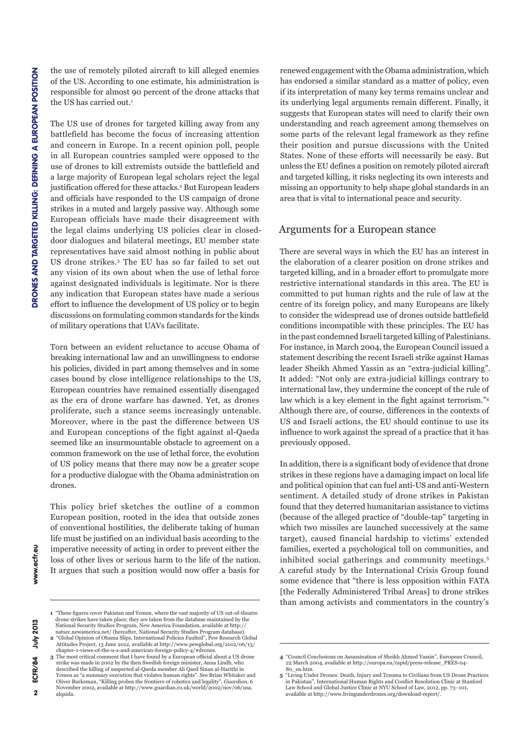the use of remotely piloted aircraft to kill alleged enemies of the US. According to one estimate, his administration is responsible for almost 90 percent of the drone attacks that the US has carried out.<sup>1</sup>

The US use of drones for targeted killing away from any battlefield has become the focus of increasing attention and concern in Europe. In a recent opinion poll, people in all European countries sampled were opposed to the use of drones to kill extremists outside the battlefield and a large majority of European legal scholars reject the legal justification offered for these attacks.<sup>2</sup> But European leaders and officials have responded to the US campaign of drone strikes in a muted and largely passive way. Although some European officials have made their disagreement with the legal claims underlying US policies clear in closeddoor dialogues and bilateral meetings, EU member state representatives have said almost nothing in public about US drone strikes.3 The EU has so far failed to set out any vision of its own about when the use of lethal force against designated individuals is legitimate. Nor is there any indication that European states have made a serious effort to influence the development of US policy or to begin discussions on formulating common standards for the kinds of military operations that UAVs facilitate.

Torn between an evident reluctance to accuse Obama of breaking international law and an unwillingness to endorse his policies, divided in part among themselves and in some cases bound by close intelligence relationships to the US, European countries have remained essentially disengaged as the era of drone warfare has dawned. Yet, as drones proliferate, such a stance seems increasingly untenable. Moreover, where in the past the difference between US and European conceptions of the fight against al-Qaeda seemed like an insurmountable obstacle to agreement on a common framework on the use of lethal force, the evolution of US policy means that there may now be a greater scope for a productive dialogue with the Obama administration on drones.

This policy brief sketches the outline of a common European position, rooted in the idea that outside zones of conventional hostilities, the deliberate taking of human life must be justified on an individual basis according to the imperative necessity of acting in order to prevent either the loss of other lives or serious harm to the life of the nation. It argues that such a position would now offer a basis for

renewed engagement with the Obama administration, which has endorsed a similar standard as a matter of policy, even if its interpretation of many key terms remains unclear and its underlying legal arguments remain different. Finally, it suggests that European states will need to clarify their own understanding and reach agreement among themselves on some parts of the relevant legal framework as they refine their position and pursue discussions with the United States. None of these efforts will necessarily be easy. But unless the EU defines a position on remotely piloted aircraft and targeted killing, it risks neglecting its own interests and missing an opportunity to help shape global standards in an area that is vital to international peace and security.

#### Arguments for a European stance

There are several ways in which the EU has an interest in the elaboration of a clearer position on drone strikes and targeted killing, and in a broader effort to promulgate more restrictive international standards in this area. The EU is committed to put human rights and the rule of law at the centre of its foreign policy, and many Europeans are likely to consider the widespread use of drones outside battlefield conditions incompatible with these principles. The EU has in the past condemned Israeli targeted killing of Palestinians. For instance, in March 2004, the European Council issued a statement describing the recent Israeli strike against Hamas leader Sheikh Ahmed Yassin as an "extra-judicial killing". It added: "Not only are extra-judicial killings contrary to international law, they undermine the concept of the rule of law which is a key element in the fight against terrorism."4 Although there are, of course, differences in the contexts of US and Israeli actions, the EU should continue to use its influence to work against the spread of a practice that it has previously opposed.

In addition, there is a significant body of evidence that drone strikes in these regions have a damaging impact on local life and political opinion that can fuel anti-US and anti-Western sentiment. A detailed study of drone strikes in Pakistan found that they deterred humanitarian assistance to victims (because of the alleged practice of "double-tap" targeting in which two missiles are launched successively at the same target), caused financial hardship to victims' extended families, exerted a psychological toll on communities, and inhibited social gatherings and community meetings.5 A careful study by the International Crisis Group found some evidence that "there is less opposition within FATA [the Federally Administered Tribal Areas] to drone strikes than among activists and commentators in the country's

**<sup>1</sup>** "These figures cover Pakistan and Yemen, where the vast majority of US out-of-theatre drone strikes have taken place; they are taken from the database maintained by the National Security Studies Program, New America Foundation, available at http:// natsec.newamerica.net/ (hereafter, National Security Studies Program database).

**<sup>2</sup>** "Global Opinion of Obama Slips, International Policies Faulted", Pew Research Global Attitudes Project, 13 June 2012, available at http://www.pewglobal.org/2012/06/13/ chapter-1-views-of-the-u-s-and-american-foreign-policy-4/#drones. **3** The most critical comment that I have found by a European official about a US drone

strike was made in 2002 by the then Swedish foreign minister, Anna Lindh, who described the killing of suspected al-Qaeda member Ali Qaed Sinan al-Harithi in Yemen as "a summary execution that violates human rights". See Brian Whitaker and Oliver Burkeman, "Killing probes the frontiers of robotics and legality", *Guardian*, 6 November 2002, available at http://www.guardian.co.uk/world/2002/nov/06/usa. alqaida.

**<sup>4</sup>** "Council Conclusions on Assassination of Sheikh Ahmed Yassin", European Council, 22 March 2004, available at http://europa.eu/rapid/press-release\_PRES-04- 80\_en.htm.

**<sup>5</sup>** "Living Under Drones: Death, Injury and Trauma to Civilians from US Drone Practices in Pakistan", International Human Rights and Conflict Resolution Clinic at Stanford Law School and Global Justice Clinic at NYU School of Law, 2012, pp. 73–101, available at http://www.livingunderdrones.org/download-report/.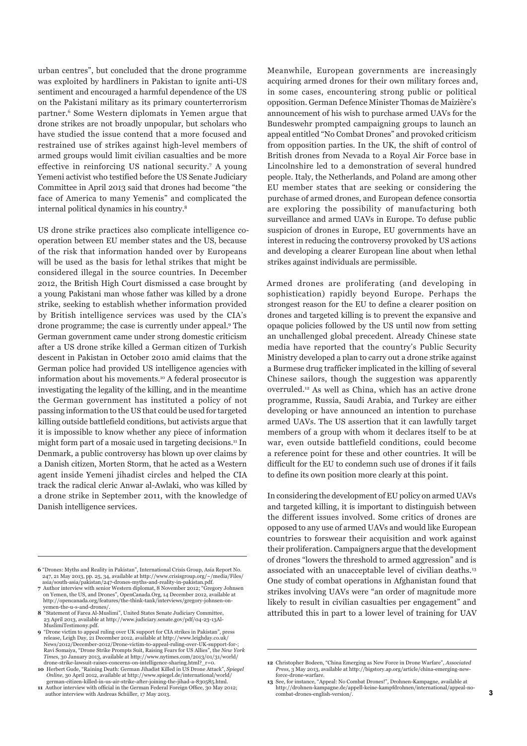urban centres", but concluded that the drone programme was exploited by hardliners in Pakistan to ignite anti-US sentiment and encouraged a harmful dependence of the US on the Pakistani military as its primary counterterrorism partner.6 Some Western diplomats in Yemen argue that drone strikes are not broadly unpopular, but scholars who have studied the issue contend that a more focused and restrained use of strikes against high-level members of armed groups would limit civilian casualties and be more effective in reinforcing US national security.7 A young Yemeni activist who testified before the US Senate Judiciary Committee in April 2013 said that drones had become "the face of America to many Yemenis" and complicated the internal political dynamics in his country.8

US drone strike practices also complicate intelligence cooperation between EU member states and the US, because of the risk that information handed over by Europeans will be used as the basis for lethal strikes that might be considered illegal in the source countries. In December 2012, the British High Court dismissed a case brought by a young Pakistani man whose father was killed by a drone strike, seeking to establish whether information provided by British intelligence services was used by the CIA's drone programme; the case is currently under appeal.9 The German government came under strong domestic criticism after a US drone strike killed a German citizen of Turkish descent in Pakistan in October 2010 amid claims that the German police had provided US intelligence agencies with information about his movements.10 A federal prosecutor is investigating the legality of the killing, and in the meantime the German government has instituted a policy of not passing information to the US that could be used for targeted killing outside battlefield conditions, but activists argue that it is impossible to know whether any piece of information might form part of a mosaic used in targeting decisions.11 In Denmark, a public controversy has blown up over claims by a Danish citizen, Morten Storm, that he acted as a Western agent inside Yemeni jihadist circles and helped the CIA track the radical cleric Anwar al-Awlaki, who was killed by a drone strike in September 2011, with the knowledge of Danish intelligence services.

Meanwhile, European governments are increasingly acquiring armed drones for their own military forces and, in some cases, encountering strong public or political opposition. German Defence Minister Thomas de Maizière's announcement of his wish to purchase armed UAVs for the Bundeswehr prompted campaigning groups to launch an appeal entitled "No Combat Drones" and provoked criticism from opposition parties. In the UK, the shift of control of British drones from Nevada to a Royal Air Force base in Lincolnshire led to a demonstration of several hundred people. Italy, the Netherlands, and Poland are among other EU member states that are seeking or considering the purchase of armed drones, and European defence consortia are exploring the possibility of manufacturing both surveillance and armed UAVs in Europe. To defuse public suspicion of drones in Europe, EU governments have an interest in reducing the controversy provoked by US actions and developing a clearer European line about when lethal strikes against individuals are permissible.

Armed drones are proliferating (and developing in sophistication) rapidly beyond Europe. Perhaps the strongest reason for the EU to define a clearer position on drones and targeted killing is to prevent the expansive and opaque policies followed by the US until now from setting an unchallenged global precedent. Already Chinese state media have reported that the country's Public Security Ministry developed a plan to carry out a drone strike against a Burmese drug trafficker implicated in the killing of several Chinese sailors, though the suggestion was apparently overruled.12 As well as China, which has an active drone programme, Russia, Saudi Arabia, and Turkey are either developing or have announced an intention to purchase armed UAVs. The US assertion that it can lawfully target members of a group with whom it declares itself to be at war, even outside battlefield conditions, could become a reference point for these and other countries. It will be difficult for the EU to condemn such use of drones if it fails to define its own position more clearly at this point.

In considering the development of EU policy on armed UAVs and targeted killing, it is important to distinguish between the different issues involved. Some critics of drones are opposed to any use of armed UAVs and would like European countries to forswear their acquisition and work against their proliferation. Campaigners argue that the development of drones "lowers the threshold to armed aggression" and is associated with an unacceptable level of civilian deaths.<sup>13</sup> One study of combat operations in Afghanistan found that strikes involving UAVs were "an order of magnitude more likely to result in civilian casualties per engagement" and attributed this in part to a lower level of training for UAV

**<sup>6</sup>** "Drones: Myths and Reality in Pakistan", International Crisis Group, Asia Report No. 247, 21 May 2013, pp. 25, 34, available at http://www.crisisgroup.org/~/media/Files/ asia/south-asia/pakistan/247-drones-myths-and-reality-in-pakistan.pdf.

**<sup>7</sup>** Author interview with senior Western diplomat, 8 November 2012; "Gregory Johnsen on Yemen, the US, and Drones", OpenCanada.Org, 14 December 2012, available at http://opencanada.org/features/the-think-tank/interviews/gregory-johnsen-onyemen-the-u-s-and-drones/. **8** "Statement of Farea Al-Muslimi", United States Senate Judiciary Committee,

<sup>23</sup> April 2013, available at http://www.judiciary.senate.gov/pdf/04-23-13Al-MuslimiTestimony.pdf.

**<sup>9</sup>** "Drone victim to appeal ruling over UK support for CIA strikes in Pakistan", press release, Leigh Day, 21 December 2012, available at http://www.leighday.co.uk/ News/2012/December-2012/Drone-victim-to-appeal-ruling-over-UK-support-for-; Ravi Somaiya, "Drone Strike Prompts Suit, Raising Fears for US Allies", the *New York Times*, 30 January 2013, available at http://www.nytimes.com/2013/01/31/world/

drone-strike-lawsuit-raises-concerns-on-intelligence-sharing.html?\_r=0. **10** Herbert Gude, "Raining Death: German Jihadist Killed in US Drone Attack", *Spiegel Online*, 30 April 2012, available at http://www.spiegel.de/international/world/ german-citizen-killed-in-us-air-strike-after-joining-the-jihad-a-830585.html.

**<sup>11</sup>** Author interview with official in the German Federal Foreign Office, 30 May 2012; author interview with Andreas Schüller, 17 May 2013.

**<sup>12</sup>** Christopher Bodeen, "China Emerging as New Force in Drone Warfare", *Associated Press*, 3 May 2013, available at http://bigstory.ap.org/article/china-emerging-newforce-drone-warfare.

**<sup>13</sup>** See, for instance, "Appeal: No Combat Drones!", Drohnen-Kampagne, available at http://drohnen-kampagne.de/appell-keine-kampfdrohnen/international/appeal-no-combat-drones-english-version/.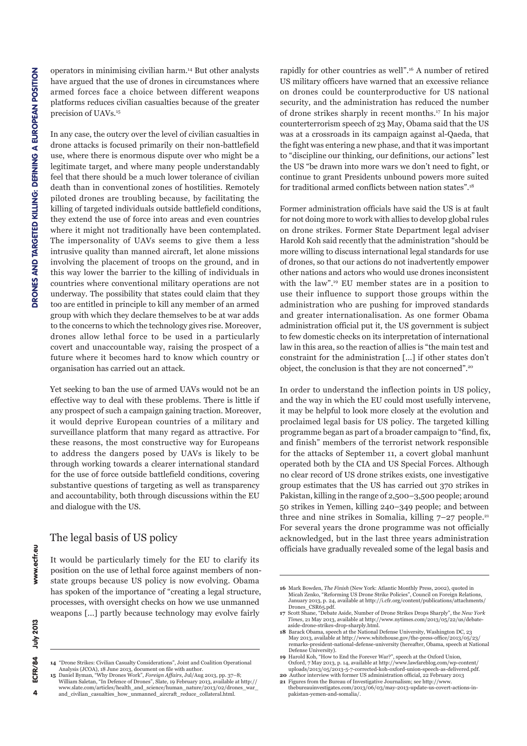operators in minimising civilian harm.14 But other analysts have argued that the use of drones in circumstances where armed forces face a choice between different weapons platforms reduces civilian casualties because of the greater precision of UAVs.15

In any case, the outcry over the level of civilian casualties in drone attacks is focused primarily on their non-battlefield use, where there is enormous dispute over who might be a legitimate target, and where many people understandably feel that there should be a much lower tolerance of civilian death than in conventional zones of hostilities. Remotely piloted drones are troubling because, by facilitating the killing of targeted individuals outside battlefield conditions, they extend the use of force into areas and even countries where it might not traditionally have been contemplated. The impersonality of UAVs seems to give them a less intrusive quality than manned aircraft, let alone missions involving the placement of troops on the ground, and in this way lower the barrier to the killing of individuals in countries where conventional military operations are not underway. The possibility that states could claim that they too are entitled in principle to kill any member of an armed group with which they declare themselves to be at war adds to the concerns to which the technology gives rise. Moreover, drones allow lethal force to be used in a particularly covert and unaccountable way, raising the prospect of a future where it becomes hard to know which country or organisation has carried out an attack.

Yet seeking to ban the use of armed UAVs would not be an effective way to deal with these problems. There is little if any prospect of such a campaign gaining traction. Moreover, it would deprive European countries of a military and surveillance platform that many regard as attractive. For these reasons, the most constructive way for Europeans to address the dangers posed by UAVs is likely to be through working towards a clearer international standard for the use of force outside battlefield conditions, covering substantive questions of targeting as well as transparency and accountability, both through discussions within the EU and dialogue with the US.

#### The legal basis of US policy

It would be particularly timely for the EU to clarify its position on the use of lethal force against members of nonstate groups because US policy is now evolving. Obama has spoken of the importance of "creating a legal structure, processes, with oversight checks on how we use unmanned weapons [...] partly because technology may evolve fairly

rapidly for other countries as well".16 A number of retired US military officers have warned that an excessive reliance on drones could be counterproductive for US national security, and the administration has reduced the number of drone strikes sharply in recent months.17 In his major counterterrorism speech of 23 May, Obama said that the US was at a crossroads in its campaign against al-Qaeda, that the fight was entering a new phase, and that it was important to "discipline our thinking, our definitions, our actions" lest the US "be drawn into more wars we don't need to fight, or continue to grant Presidents unbound powers more suited for traditional armed conflicts between nation states".18

Former administration officials have said the US is at fault for not doing more to work with allies to develop global rules on drone strikes. Former State Department legal adviser Harold Koh said recently that the administration "should be more willing to discuss international legal standards for use of drones, so that our actions do not inadvertently empower other nations and actors who would use drones inconsistent with the law".19 EU member states are in a position to use their influence to support those groups within the administration who are pushing for improved standards and greater internationalisation. As one former Obama administration official put it, the US government is subject to few domestic checks on its interpretation of international law in this area, so the reaction of allies is "the main test and constraint for the administration [...] if other states don't object, the conclusion is that they are not concerned".20

In order to understand the inflection points in US policy, and the way in which the EU could most usefully intervene, it may be helpful to look more closely at the evolution and proclaimed legal basis for US policy. The targeted killing programme began as part of a broader campaign to "find, fix, and finish" members of the terrorist network responsible for the attacks of September 11, a covert global manhunt operated both by the CIA and US Special Forces. Although no clear record of US drone strikes exists, one investigative group estimates that the US has carried out 370 strikes in Pakistan, killing in the range of 2,500–3,500 people; around 50 strikes in Yemen, killing 240–349 people; and between three and nine strikes in Somalia, killing  $7-27$  people.<sup>21</sup> For several years the drone programme was not officially acknowledged, but in the last three years administration officials have gradually revealed some of the legal basis and

<sup>14 &</sup>quot;Drone Strikes: Civilian Casualty Considerations", Joint and Coalition Operational<br>Analysis (JCOA), 18 June 2013, document on file with author.<br>15 Daniel Byman, "Why Drones Work", *Foreign Affairs*, Jul/Aug 2013, pp. 37

William Saletan, "In Defence of Drones", Slate, 19 February 2013, available at http:// www.slate.com/articles/health\_and\_science/human\_nature/2013/02/drones\_war\_ and\_civilian\_casualties\_how\_unmanned\_aircraft\_reduce\_collateral.html.

**<sup>16</sup>** Mark Bowden, *The Finish* (New York: Atlantic Monthly Press, 2002), quoted in Micah Zenko, "Reforming US Drone Strike Policies", Council on Foreign Relations, January 2013, p. 24, available at http://i.cfr.org/content/publications/attachments/ Drones\_CSR65.pdf.

**<sup>17</sup>** Scott Shane, "Debate Aside, Number of Drone Strikes Drops Sharply", the *New York Times*, 21 May 2013, available at http://www.nytimes.com/2013/05/22/us/debateaside-drone-strikes-drop-sharply.html.

**<sup>18</sup>** Barack Obama, speech at the National Defense University, Washington DC, 23 May 2013, available at http://www.whitehouse.gov/the-press-office/2013/05/23/ remarks-president-national-defense-university (hereafter, Obama, speech at National Defense University). **19** Harold Koh, "How to End the Forever War?", speech at the Oxford Union,

Oxford, 7 May 2013, p. 14, available at http://www.lawfareblog.com/wp-content/<br>uploads/2013/05/2013-5-7-corrected-koh-oxford-union-speech-as-delivered.pdf<br>20 Author interview with former US administration official, 22 Febr

**<sup>21</sup>** Figures from the Bureau of Investigative Journalism; see http://www. thebureauinvestigates.com/2013/06/03/may-2013-update-us-covert-actions-in-pakistan-yemen-and-somalia/.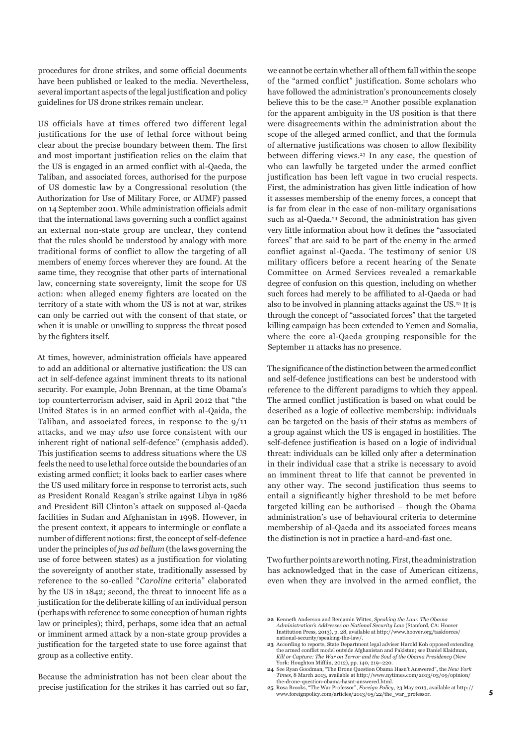procedures for drone strikes, and some official documents have been published or leaked to the media. Nevertheless, several important aspects of the legal justification and policy guidelines for US drone strikes remain unclear.

US officials have at times offered two different legal justifications for the use of lethal force without being clear about the precise boundary between them. The first and most important justification relies on the claim that the US is engaged in an armed conflict with al-Qaeda, the Taliban, and associated forces, authorised for the purpose of US domestic law by a Congressional resolution (the Authorization for Use of Military Force, or AUMF) passed on 14 September 2001. While administration officials admit that the international laws governing such a conflict against an external non-state group are unclear, they contend that the rules should be understood by analogy with more traditional forms of conflict to allow the targeting of all members of enemy forces wherever they are found. At the same time, they recognise that other parts of international law, concerning state sovereignty, limit the scope for US action: when alleged enemy fighters are located on the territory of a state with whom the US is not at war, strikes can only be carried out with the consent of that state, or when it is unable or unwilling to suppress the threat posed by the fighters itself.

At times, however, administration officials have appeared to add an additional or alternative justification: the US can act in self-defence against imminent threats to its national security. For example, John Brennan, at the time Obama's top counterterrorism adviser, said in April 2012 that "the United States is in an armed conflict with al-Qaida, the Taliban, and associated forces, in response to the 9/11 attacks, and we may *also* use force consistent with our inherent right of national self-defence" (emphasis added). This justification seems to address situations where the US feels the need to use lethal force outside the boundaries of an existing armed conflict; it looks back to earlier cases where the US used military force in response to terrorist acts, such as President Ronald Reagan's strike against Libya in 1986 and President Bill Clinton's attack on supposed al-Qaeda facilities in Sudan and Afghanistan in 1998. However, in the present context, it appears to intermingle or conflate a number of different notions: first, the concept of self-defence under the principles of *jus ad bellum* (the laws governing the use of force between states) as a justification for violating the sovereignty of another state, traditionally assessed by reference to the so-called "*Caroline* criteria" elaborated by the US in 1842; second, the threat to innocent life as a justification for the deliberate killing of an individual person (perhaps with reference to some conception of human rights law or principles); third, perhaps, some idea that an actual or imminent armed attack by a non-state group provides a justification for the targeted state to use force against that group as a collective entity.

Because the administration has not been clear about the precise justification for the strikes it has carried out so far, we cannot be certain whether all of them fall within the scope of the "armed conflict" justification. Some scholars who have followed the administration's pronouncements closely believe this to be the case.<sup>22</sup> Another possible explanation for the apparent ambiguity in the US position is that there were disagreements within the administration about the scope of the alleged armed conflict, and that the formula of alternative justifications was chosen to allow flexibility between differing views.<sup>23</sup> In any case, the question of who can lawfully be targeted under the armed conflict justification has been left vague in two crucial respects. First, the administration has given little indication of how it assesses membership of the enemy forces, a concept that is far from clear in the case of non-military organisations such as al-Qaeda.<sup>24</sup> Second, the administration has given very little information about how it defines the "associated forces" that are said to be part of the enemy in the armed conflict against al-Qaeda. The testimony of senior US military officers before a recent hearing of the Senate Committee on Armed Services revealed a remarkable degree of confusion on this question, including on whether such forces had merely to be affiliated to al-Qaeda or had also to be involved in planning attacks against the US.25 It is through the concept of "associated forces" that the targeted killing campaign has been extended to Yemen and Somalia, where the core al-Qaeda grouping responsible for the September 11 attacks has no presence.

The significance of the distinction between the armed conflict and self-defence justifications can best be understood with reference to the different paradigms to which they appeal. The armed conflict justification is based on what could be described as a logic of collective membership: individuals can be targeted on the basis of their status as members of a group against which the US is engaged in hostilities. The self-defence justification is based on a logic of individual threat: individuals can be killed only after a determination in their individual case that a strike is necessary to avoid an imminent threat to life that cannot be prevented in any other way. The second justification thus seems to entail a significantly higher threshold to be met before targeted killing can be authorised – though the Obama administration's use of behavioural criteria to determine membership of al-Qaeda and its associated forces means the distinction is not in practice a hard-and-fast one.

Two further points are worth noting. First, the administration has acknowledged that in the case of American citizens, even when they are involved in the armed conflict, the

**<sup>22</sup>** Kenneth Anderson and Benjamin Wittes, *Speaking the Law: The Obama Administration's Addresses on National Security Law* (Stanford, CA: Hoover Institution Press, 2013), p. 28, available at http://www.hoover.org/taskforces/

national-security/speaking-the-law/. **23** According to reports, State Department legal adviser Harold Koh opposed extending the armed conflict model outside Afghanistan and Pakistan; see Daniel Klaidman, *Kill or Capture: The War on Terror and the Soul of the Obama Presidency* (New

York: Houghton Mifflin, 2012), pp. 140, 219–220. **24** See Ryan Goodman, "The Drone Question Obama Hasn't Answered", the *New York Times*, 8 March 2013, available at http://www.nytimes.com/2013/03/09/opinion/ the-drone-question-obama-hasnt-answered.html.

**<sup>25</sup>** Rosa Brooks, "The War Professor", *Foreign Policy*, 23 May 2013, available at http:// www.foreignpolicy.com/articles/2013/05/22/the\_war\_professor.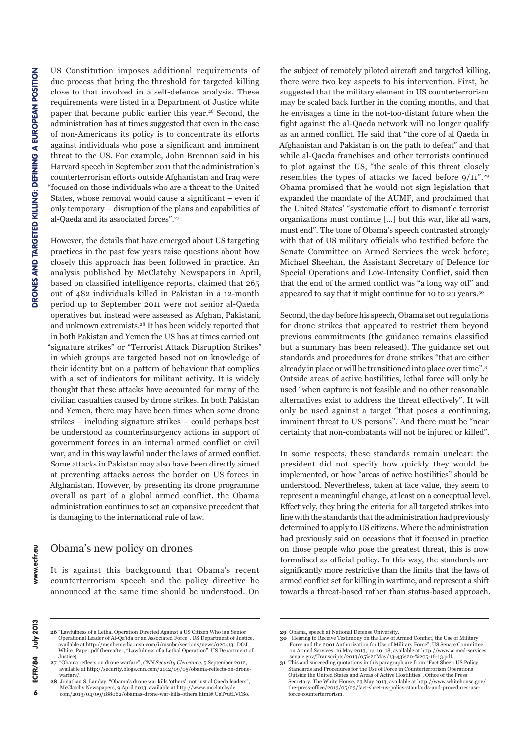US Constitution imposes additional requirements of due process that bring the threshold for targeted killing close to that involved in a self-defence analysis. These requirements were listed in a Department of Justice white paper that became public earlier this year.<sup>26</sup> Second, the administration has at times suggested that even in the case of non-Americans its policy is to concentrate its efforts against individuals who pose a significant and imminent threat to the US. For example, John Brennan said in his Harvard speech in September 2011 that the administration's counterterrorism efforts outside Afghanistan and Iraq were "focused on those individuals who are a threat to the United States, whose removal would cause a significant – even if only temporary – disruption of the plans and capabilities of al-Qaeda and its associated forces".27

However, the details that have emerged about US targeting practices in the past few years raise questions about how closely this approach has been followed in practice. An analysis published by McClatchy Newspapers in April, based on classified intelligence reports, claimed that 265 out of 482 individuals killed in Pakistan in a 12-month period up to September 2011 were not senior al-Qaeda operatives but instead were assessed as Afghan, Pakistani, and unknown extremists.28 It has been widely reported that in both Pakistan and Yemen the US has at times carried out "signature strikes" or "Terrorist Attack Disruption Strikes" in which groups are targeted based not on knowledge of their identity but on a pattern of behaviour that complies with a set of indicators for militant activity. It is widely thought that these attacks have accounted for many of the civilian casualties caused by drone strikes. In both Pakistan and Yemen, there may have been times when some drone strikes – including signature strikes – could perhaps best be understood as counterinsurgency actions in support of government forces in an internal armed conflict or civil war, and in this way lawful under the laws of armed conflict. Some attacks in Pakistan may also have been directly aimed at preventing attacks across the border on US forces in Afghanistan. However, by presenting its drone programme overall as part of a global armed conflict. the Obama administration continues to set an expansive precedent that is damaging to the international rule of law.

#### Obama's new policy on drones

It is against this background that Obama's recent counterterrorism speech and the policy directive he announced at the same time should be understood. On

the subject of remotely piloted aircraft and targeted killing, there were two key aspects to his intervention. First, he suggested that the military element in US counterterrorism may be scaled back further in the coming months, and that he envisages a time in the not-too-distant future when the fight against the al-Qaeda network will no longer qualify as an armed conflict. He said that "the core of al Qaeda in Afghanistan and Pakistan is on the path to defeat" and that while al-Qaeda franchises and other terrorists continued to plot against the US, "the scale of this threat closely resembles the types of attacks we faced before  $9/11$ ".<sup>29</sup> Obama promised that he would not sign legislation that expanded the mandate of the AUMF, and proclaimed that the United States' "systematic effort to dismantle terrorist organizations must continue […] but this war, like all wars, must end". The tone of Obama's speech contrasted strongly with that of US military officials who testified before the Senate Committee on Armed Services the week before; Michael Sheehan, the Assistant Secretary of Defence for Special Operations and Low-Intensity Conflict, said then that the end of the armed conflict was "a long way off" and appeared to say that it might continue for 10 to 20 years.30

Second, the day before his speech, Obama set out regulations for drone strikes that appeared to restrict them beyond previous commitments (the guidance remains classified but a summary has been released). The guidance set out standards and procedures for drone strikes "that are either already in place or will be transitioned into place over time".31 Outside areas of active hostilities, lethal force will only be used "when capture is not feasible and no other reasonable alternatives exist to address the threat effectively". It will only be used against a target "that poses a continuing, imminent threat to US persons". And there must be "near certainty that non-combatants will not be injured or killed".

In some respects, these standards remain unclear: the president did not specify how quickly they would be implemented, or how "areas of active hostilities" should be understood. Nevertheless, taken at face value, they seem to represent a meaningful change, at least on a conceptual level. Effectively, they bring the criteria for all targeted strikes into line with the standards that the administration had previously determined to apply to US citizens. Where the administration had previously said on occasions that it focused in practice on those people who pose the greatest threat, this is now formalised as official policy. In this way, the standards are significantly more restrictive than the limits that the laws of armed conflict set for killing in wartime, and represent a shift towards a threat-based rather than status-based approach.

**<sup>26</sup>** "Lawfulness of a Lethal Operation Directed Against a US Citizen Who is a Senior Operational Leader of Al-Qa'ida or an Associated Force", US Department of Justice, available at http://msnbcmedia.msn.com/i/msnbc/sections/news/020413\_DOJ\_ White\_Paper.pdf (hereafter, "Lawfulness of a Lethal Operation", US Department of Justice).

**<sup>27</sup>** "Obama reflects on drone warfare", *CNN Security Clearance*, 5 September 2012, available at http://security.blogs.cnn.com/2012/09/05/obama-reflects-on-dronewarfare/.

**<sup>28</sup>** Jonathan S. Landay, "Obama's drone war kills 'others', not just al Qaeda leaders", McClatchy Newspapers, 9 April 2013, available at http://www.mcclatchydc. com/2013/04/09/188062/obamas-drone-war-kills-others.html#.UaTvutLVCSo.

**<sup>29</sup>** Obama, speech at National Defense University.

**<sup>30</sup>** "Hearing to Receive Testimony on the Law of Armed Conflict, the Use of Military Force and the 2001 Authorization for Use of Military Force", US Senate Committee on Armed Services, 16 May 2013, pp. 10, 18, available at http://www.armed-services. senate.gov/Transcripts/2013/05%20May/13-43%20-%205-16-13.pdf.

**<sup>31</sup>** This and succeeding quotations in this paragraph are from "Fact Sheet: US Policy Standards and Procedures for the Use of Force in Counterterrorism Operations Outside the United States and Areas of Active Hostilities", Office of the Press Secretary, The White House, 23 May 2013, available at http://www.whitehouse.gov/ the-press-office/2013/05/23/fact-sheet-us-policy-standards-and-procedures-us force-counterterrorism.

 $\boldsymbol{6}$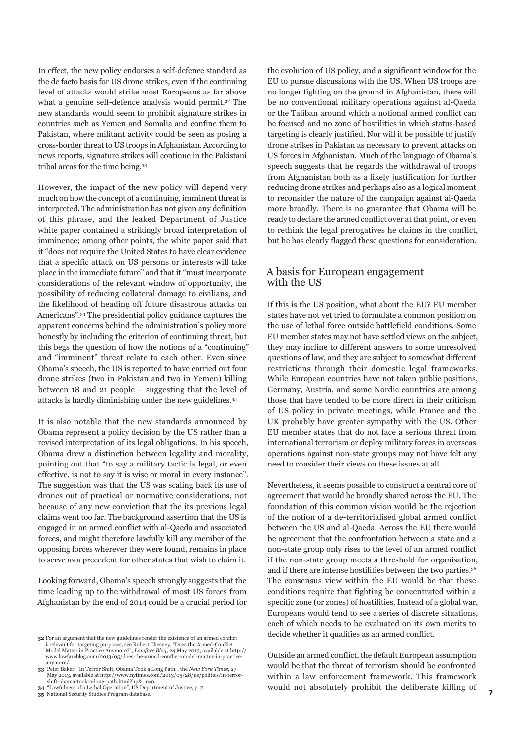In effect, the new policy endorses a self-defence standard as the de facto basis for US drone strikes, even if the continuing level of attacks would strike most Europeans as far above what a genuine self-defence analysis would permit.<sup>32</sup> The new standards would seem to prohibit signature strikes in countries such as Yemen and Somalia and confine them to Pakistan, where militant activity could be seen as posing a cross-border threat to US troops in Afghanistan. According to news reports, signature strikes will continue in the Pakistani tribal areas for the time being.33

However, the impact of the new policy will depend very much on how the concept of a continuing, imminent threat is interpreted. The administration has not given any definition of this phrase, and the leaked Department of Justice white paper contained a strikingly broad interpretation of imminence; among other points, the white paper said that it "does not require the United States to have clear evidence that a specific attack on US persons or interests will take place in the immediate future" and that it "must incorporate considerations of the relevant window of opportunity, the possibility of reducing collateral damage to civilians, and the likelihood of heading off future disastrous attacks on Americans".34 The presidential policy guidance captures the apparent concerns behind the administration's policy more honestly by including the criterion of continuing threat, but this begs the question of how the notions of a "continuing" and "imminent" threat relate to each other. Even since Obama's speech, the US is reported to have carried out four drone strikes (two in Pakistan and two in Yemen) killing between 18 and 21 people – suggesting that the level of attacks is hardly diminishing under the new guidelines.35

It is also notable that the new standards announced by Obama represent a policy decision by the US rather than a revised interpretation of its legal obligations. In his speech, Obama drew a distinction between legality and morality, pointing out that "to say a military tactic is legal, or even effective, is not to say it is wise or moral in every instance". The suggestion was that the US was scaling back its use of drones out of practical or normative considerations, not because of any new conviction that the its previous legal claims went too far. The background assertion that the US is engaged in an armed conflict with al-Qaeda and associated forces, and might therefore lawfully kill any member of the opposing forces wherever they were found, remains in place to serve as a precedent for other states that wish to claim it.

Looking forward, Obama's speech strongly suggests that the time leading up to the withdrawal of most US forces from Afghanistan by the end of 2014 could be a crucial period for

the evolution of US policy, and a significant window for the EU to pursue discussions with the US. When US troops are no longer fighting on the ground in Afghanistan, there will be no conventional military operations against al-Qaeda or the Taliban around which a notional armed conflict can be focused and no zone of hostilities in which status-based targeting is clearly justified. Nor will it be possible to justify drone strikes in Pakistan as necessary to prevent attacks on US forces in Afghanistan. Much of the language of Obama's speech suggests that he regards the withdrawal of troops from Afghanistan both as a likely justification for further reducing drone strikes and perhaps also as a logical moment to reconsider the nature of the campaign against al-Qaeda more broadly. There is no guarantee that Obama will be ready to declare the armed conflict over at that point, or even to rethink the legal prerogatives he claims in the conflict, but he has clearly flagged these questions for consideration.

#### A basis for European engagement with the US

If this is the US position, what about the EU? EU member states have not yet tried to formulate a common position on the use of lethal force outside battlefield conditions. Some EU member states may not have settled views on the subject, they may incline to different answers to some unresolved questions of law, and they are subject to somewhat different restrictions through their domestic legal frameworks. While European countries have not taken public positions, Germany, Austria, and some Nordic countries are among those that have tended to be more direct in their criticism of US policy in private meetings, while France and the UK probably have greater sympathy with the US. Other EU member states that do not face a serious threat from international terrorism or deploy military forces in overseas operations against non-state groups may not have felt any need to consider their views on these issues at all.

Nevertheless, it seems possible to construct a central core of agreement that would be broadly shared across the EU. The foundation of this common vision would be the rejection of the notion of a de-territorialised global armed conflict between the US and al-Qaeda. Across the EU there would be agreement that the confrontation between a state and a non-state group only rises to the level of an armed conflict if the non-state group meets a threshold for organisation, and if there are intense hostilities between the two parties.36 The consensus view within the EU would be that these conditions require that fighting be concentrated within a specific zone (or zones) of hostilities. Instead of a global war, Europeans would tend to see a series of discrete situations, each of which needs to be evaluated on its own merits to decide whether it qualifies as an armed conflict.

Outside an armed conflict, the default European assumption would be that the threat of terrorism should be confronted within a law enforcement framework. This framework would not absolutely prohibit the deliberate killing of

**<sup>32</sup>** For an argument that the new guidelines render the existence of an armed conflict irrelevant for targeting purposes, see Robert Chesney, "Does the Armed-Conflict Model Matter in Practice Anymore?", *Lawfare Blog*, 24 May 2013, available at http:// www.lawfareblog.com/2013/05/does-the-armed-conflict-model-matter-in-practiceanymore/.

**<sup>33</sup>** Peter Baker, "In Terror Shift, Obama Took a Long Path", the *New York Times*, 27 May 2013, available at http://www.nytimes.com/2013/05/28/us/politics/in-terrorshift-obama-took-a-long-path.html?hp&\_r=0.

**<sup>34</sup>** "Lawfulness of a Lethal Operation", US Department of Justice, p. 7. **35** National Security Studies Program database.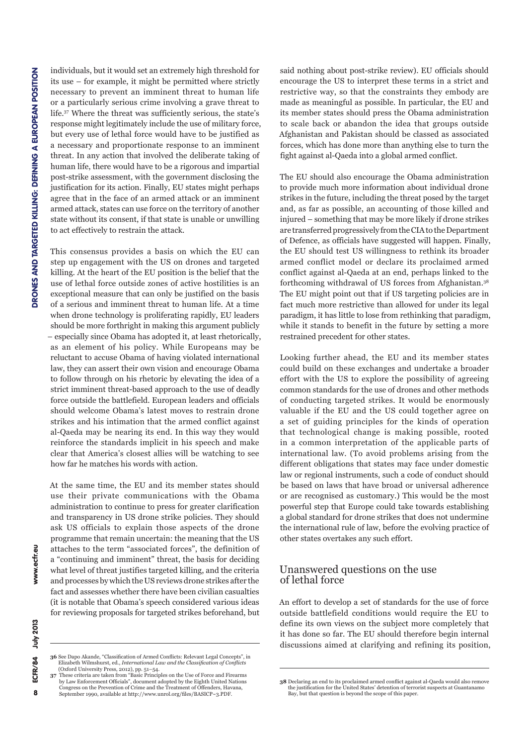individuals, but it would set an extremely high threshold for its use – for example, it might be permitted where strictly necessary to prevent an imminent threat to human life or a particularly serious crime involving a grave threat to life.37 Where the threat was sufficiently serious, the state's response might legitimately include the use of military force, but every use of lethal force would have to be justified as a necessary and proportionate response to an imminent threat. In any action that involved the deliberate taking of human life, there would have to be a rigorous and impartial post-strike assessment, with the government disclosing the justification for its action. Finally, EU states might perhaps agree that in the face of an armed attack or an imminent armed attack, states can use force on the territory of another state without its consent, if that state is unable or unwilling to act effectively to restrain the attack.

This consensus provides a basis on which the EU can step up engagement with the US on drones and targeted killing. At the heart of the EU position is the belief that the use of lethal force outside zones of active hostilities is an exceptional measure that can only be justified on the basis of a serious and imminent threat to human life. At a time when drone technology is proliferating rapidly, EU leaders should be more forthright in making this argument publicly – especially since Obama has adopted it, at least rhetorically, as an element of his policy. While Europeans may be reluctant to accuse Obama of having violated international law, they can assert their own vision and encourage Obama to follow through on his rhetoric by elevating the idea of a strict imminent threat-based approach to the use of deadly force outside the battlefield. European leaders and officials should welcome Obama's latest moves to restrain drone strikes and his intimation that the armed conflict against al-Qaeda may be nearing its end. In this way they would reinforce the standards implicit in his speech and make clear that America's closest allies will be watching to see how far he matches his words with action.

At the same time, the EU and its member states should use their private communications with the Obama administration to continue to press for greater clarification and transparency in US drone strike policies. They should ask US officials to explain those aspects of the drone programme that remain uncertain: the meaning that the US attaches to the term "associated forces", the definition of a "continuing and imminent" threat, the basis for deciding what level of threat justifies targeted killing, and the criteria and processes by which the US reviews drone strikes after the fact and assesses whether there have been civilian casualties (it is notable that Obama's speech considered various ideas for reviewing proposals for targeted strikes beforehand, but said nothing about post-strike review). EU officials should encourage the US to interpret these terms in a strict and restrictive way, so that the constraints they embody are made as meaningful as possible. In particular, the EU and its member states should press the Obama administration to scale back or abandon the idea that groups outside Afghanistan and Pakistan should be classed as associated forces, which has done more than anything else to turn the fight against al-Qaeda into a global armed conflict.

The EU should also encourage the Obama administration to provide much more information about individual drone strikes in the future, including the threat posed by the target and, as far as possible, an accounting of those killed and injured – something that may be more likely if drone strikes are transferred progressively from the CIA to the Department of Defence, as officials have suggested will happen. Finally, the EU should test US willingness to rethink its broader armed conflict model or declare its proclaimed armed conflict against al-Qaeda at an end, perhaps linked to the forthcoming withdrawal of US forces from Afghanistan.38 The EU might point out that if US targeting policies are in fact much more restrictive than allowed for under its legal paradigm, it has little to lose from rethinking that paradigm, while it stands to benefit in the future by setting a more restrained precedent for other states.

Looking further ahead, the EU and its member states could build on these exchanges and undertake a broader effort with the US to explore the possibility of agreeing common standards for the use of drones and other methods of conducting targeted strikes. It would be enormously valuable if the EU and the US could together agree on a set of guiding principles for the kinds of operation that technological change is making possible, rooted in a common interpretation of the applicable parts of international law. (To avoid problems arising from the different obligations that states may face under domestic law or regional instruments, such a code of conduct should be based on laws that have broad or universal adherence or are recognised as customary.) This would be the most powerful step that Europe could take towards establishing a global standard for drone strikes that does not undermine the international rule of law, before the evolving practice of other states overtakes any such effort.

#### Unanswered questions on the use of lethal force

An effort to develop a set of standards for the use of force outside battlefield conditions would require the EU to define its own views on the subject more completely that it has done so far. The EU should therefore begin internal discussions aimed at clarifying and refining its position,

8

**<sup>36</sup> See Dapo Akande, "Classification of Armed Conflicts: Relevant Legal Concepts", in** Elizabeth Wilmshurst, ed., *International Law and the Classification of Conflicts* (Oxford University Press, 2012), pp. 51–54. **37** These criteria are taken from "Basic Principles on the Use of Force and Firearms

by Law Enforcement Officials", document adopted by the Eighth United Nations Congress on the Prevention of Crime and the Treatment of Offenders, Havana, September 1990, available at http://www.unrol.org/files/BASICP~3.PDF.

**<sup>38</sup>** Declaring an end to its proclaimed armed conflict against al-Qaeda would also remove the justification for the United States' detention of terrorist suspects at Guantanamo Bay, but that question is beyond the scope of this paper.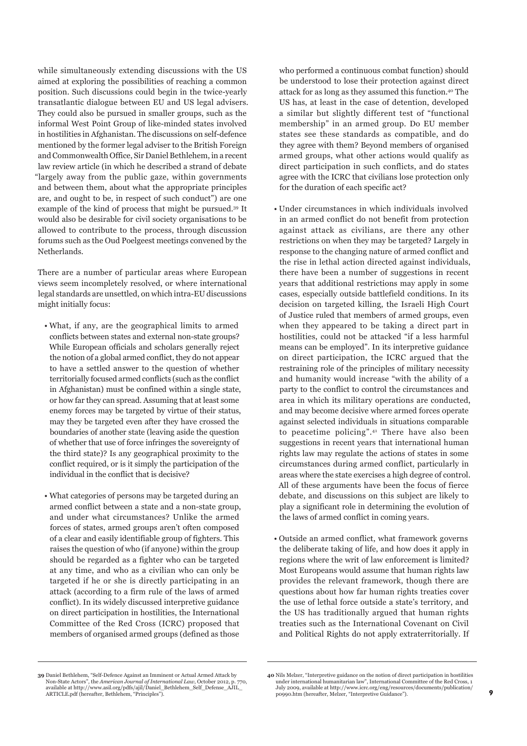while simultaneously extending discussions with the US aimed at exploring the possibilities of reaching a common position. Such discussions could begin in the twice-yearly transatlantic dialogue between EU and US legal advisers. They could also be pursued in smaller groups, such as the informal West Point Group of like-minded states involved in hostilities in Afghanistan. The discussions on self-defence mentioned by the former legal adviser to the British Foreign and Commonwealth Office, Sir Daniel Bethlehem, in a recent law review article (in which he described a strand of debate "largely away from the public gaze, within governments and between them, about what the appropriate principles are, and ought to be, in respect of such conduct") are one example of the kind of process that might be pursued.39 It would also be desirable for civil society organisations to be allowed to contribute to the process, through discussion forums such as the Oud Poelgeest meetings convened by the Netherlands.

There are a number of particular areas where European views seem incompletely resolved, or where international legal standards are unsettled, on which intra-EU discussions might initially focus:

- What, if any, are the geographical limits to armed conflicts between states and external non-state groups? While European officials and scholars generally reject the notion of a global armed conflict, they do not appear to have a settled answer to the question of whether territorially focused armed conflicts (such as the conflict in Afghanistan) must be confined within a single state, or how far they can spread. Assuming that at least some enemy forces may be targeted by virtue of their status, may they be targeted even after they have crossed the boundaries of another state (leaving aside the question of whether that use of force infringes the sovereignty of the third state)? Is any geographical proximity to the conflict required, or is it simply the participation of the individual in the conflict that is decisive?
- What categories of persons may be targeted during an armed conflict between a state and a non-state group, and under what circumstances? Unlike the armed forces of states, armed groups aren't often composed of a clear and easily identifiable group of fighters. This raises the question of who (if anyone) within the group should be regarded as a fighter who can be targeted at any time, and who as a civilian who can only be targeted if he or she is directly participating in an attack (according to a firm rule of the laws of armed conflict). In its widely discussed interpretive guidance on direct participation in hostilities, the International Committee of the Red Cross (ICRC) proposed that members of organised armed groups (defined as those

who performed a continuous combat function) should be understood to lose their protection against direct attack for as long as they assumed this function.40 The US has, at least in the case of detention, developed a similar but slightly different test of "functional membership" in an armed group. Do EU member states see these standards as compatible, and do they agree with them? Beyond members of organised armed groups, what other actions would qualify as direct participation in such conflicts, and do states agree with the ICRC that civilians lose protection only for the duration of each specific act?

- Under circumstances in which individuals involved in an armed conflict do not benefit from protection against attack as civilians, are there any other restrictions on when they may be targeted? Largely in response to the changing nature of armed conflict and the rise in lethal action directed against individuals, there have been a number of suggestions in recent years that additional restrictions may apply in some cases, especially outside battlefield conditions. In its decision on targeted killing, the Israeli High Court of Justice ruled that members of armed groups, even when they appeared to be taking a direct part in hostilities, could not be attacked "if a less harmful means can be employed". In its interpretive guidance on direct participation, the ICRC argued that the restraining role of the principles of military necessity and humanity would increase "with the ability of a party to the conflict to control the circumstances and area in which its military operations are conducted, and may become decisive where armed forces operate against selected individuals in situations comparable to peacetime policing".41 There have also been suggestions in recent years that international human rights law may regulate the actions of states in some circumstances during armed conflict, particularly in areas where the state exercises a high degree of control. All of these arguments have been the focus of fierce debate, and discussions on this subject are likely to play a significant role in determining the evolution of the laws of armed conflict in coming years.
- Outside an armed conflict, what framework governs the deliberate taking of life, and how does it apply in regions where the writ of law enforcement is limited? Most Europeans would assume that human rights law provides the relevant framework, though there are questions about how far human rights treaties cover the use of lethal force outside a state's territory, and the US has traditionally argued that human rights treaties such as the International Covenant on Civil and Political Rights do not apply extraterritorially. If

**<sup>39</sup>** Daniel Bethlehem, "Self-Defence Against an Imminent or Actual Armed Attack by Non-State Actors", the *American Journal of International Law*, October 2012, p. available at http://www.asil.org/pdfs/ajil/Daniel\_Bethlehem\_Self\_Defense\_AJIL\_ ARTICLE.pdf (hereafter, Bethlehem, "Principles").

**<sup>40</sup>** Nils Melzer, "Interpretive guidance on the notion of direct participation in hostilities under international humanitarian law", International Committee of the Red Cross, 1 July 2009, available at http://www.icrc.org/eng/resources/documents/publication/ p0990.htm (hereafter, Melzer, "Interpretive Guidance").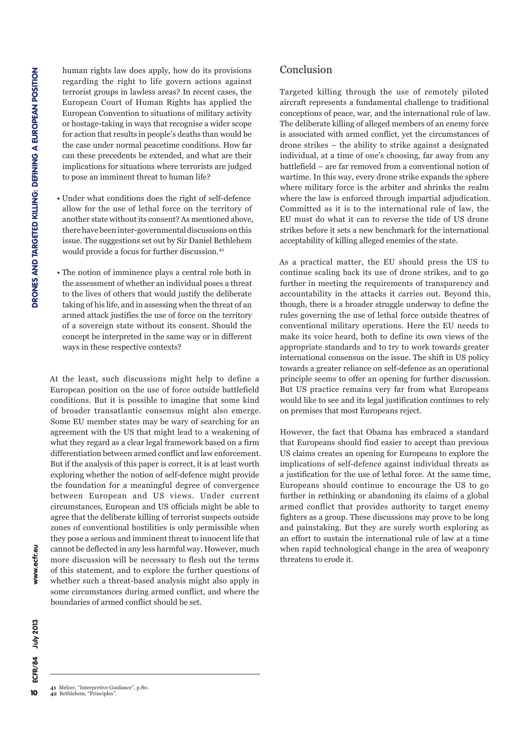human rights law does apply, how do its provisions regarding the right to life govern actions against terrorist groups in lawless areas? In recent cases, the European Court of Human Rights has applied the European Convention to situations of military activity or hostage-taking in ways that recognise a wider scope for action that results in people's deaths than would be the case under normal peacetime conditions. How far can these precedents be extended, and what are their implications for situations where terrorists are judged to pose an imminent threat to human life?

- Under what conditions does the right of self-defence allow for the use of lethal force on the territory of another state without its consent? As mentioned above, there have been inter-governmental discussions on this issue. The suggestions set out by Sir Daniel Bethlehem would provide a focus for further discussion.42
- The notion of imminence plays a central role both in the assessment of whether an individual poses a threat to the lives of others that would justify the deliberate taking of his life, and in assessing when the threat of an armed attack justifies the use of force on the territory of a sovereign state without its consent. Should the concept be interpreted in the same way or in different ways in these respective contexts?

At the least, such discussions might help to define a European position on the use of force outside battlefield conditions. But it is possible to imagine that some kind of broader transatlantic consensus might also emerge. Some EU member states may be wary of searching for an agreement with the US that might lead to a weakening of what they regard as a clear legal framework based on a firm differentiation between armed conflict and law enforcement. But if the analysis of this paper is correct, it is at least worth exploring whether the notion of self-defence might provide the foundation for a meaningful degree of convergence between European and US views. Under current circumstances, European and US officials might be able to agree that the deliberate killing of terrorist suspects outside zones of conventional hostilities is only permissible when they pose a serious and imminent threat to innocent life that cannot be deflected in any less harmful way. However, much more discussion will be necessary to flesh out the terms of this statement, and to explore the further questions of whether such a threat-based analysis might also apply in some circumstances during armed conflict, and where the boundaries of armed conflict should be set.

#### Conclusion

Targeted killing through the use of remotely piloted aircraft represents a fundamental challenge to traditional conceptions of peace, war, and the international rule of law. The deliberate killing of alleged members of an enemy force is associated with armed conflict, yet the circumstances of drone strikes – the ability to strike against a designated individual, at a time of one's choosing, far away from any battlefield – are far removed from a conventional notion of wartime. In this way, every drone strike expands the sphere where military force is the arbiter and shrinks the realm where the law is enforced through impartial adjudication. Committed as it is to the international rule of law, the EU must do what it can to reverse the tide of US drone strikes before it sets a new benchmark for the international acceptability of killing alleged enemies of the state.

As a practical matter, the EU should press the US to continue scaling back its use of drone strikes, and to go further in meeting the requirements of transparency and accountability in the attacks it carries out. Beyond this, though, there is a broader struggle underway to define the rules governing the use of lethal force outside theatres of conventional military operations. Here the EU needs to make its voice heard, both to define its own views of the appropriate standards and to try to work towards greater international consensus on the issue. The shift in US policy towards a greater reliance on self-defence as an operational principle seems to offer an opening for further discussion. But US practice remains very far from what Europeans would like to see and its legal justification continues to rely on premises that most Europeans reject.

However, the fact that Obama has embraced a standard that Europeans should find easier to accept than previous US claims creates an opening for Europeans to explore the implications of self-defence against individual threats as a justification for the use of lethal force. At the same time, Europeans should continue to encourage the US to go further in rethinking or abandoning its claims of a global armed conflict that provides authority to target enemy fighters as a group. These discussions may prove to be long and painstaking. But they are surely worth exploring as an effort to sustain the international rule of law at a time when rapid technological change in the area of weaponry threatens to erode it.

**<sup>41</sup>** Melzer, "Interpretive Guidance", p.80. **42** Bethlehem, "Principles".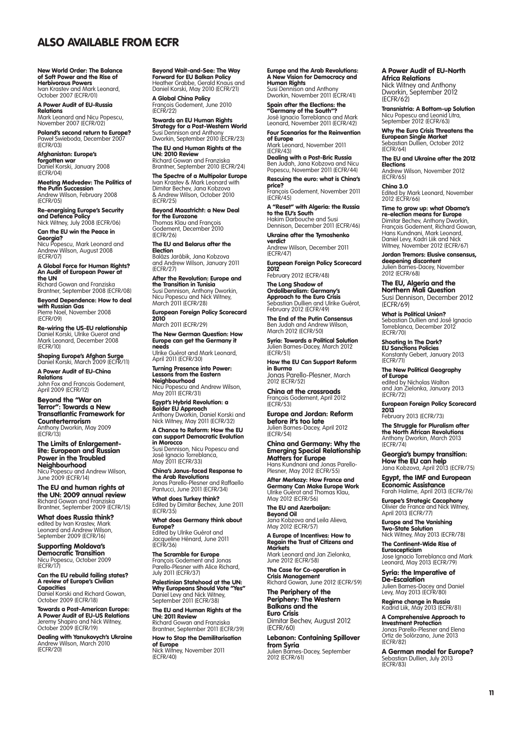### Also available from ECFR

New World Order: The Balance of Soft Power and the Rise of Herbivorous Powers Ivan Krastev and Mark Leonard, October 2007 (ECFR/01)

A Power Audit of EU-Russia **Relations**<br>Mark Leonard and Nicu Popescu,<br>November 2007 (ECFR/02)

Poland's second return to Europe? Paweł Swieboda, December 2007 (ECFR/03)

Afghanistan: Europe's **forgotten war**<br>Daniel Korski, January 2008 (ECFR/04)

Me**eting Medvedev: The Politics of<br><b>the Putin Succession**<br>Andrew Wilson, February 2008 (ECFR/05)

**Re-energising Europe's Security<br><b>and Defence Policy**<br>Nick Witney, July 2008 (ECFR/06)

Can the EU win the Peace in **Georgia?**<br>Nicu Popescu, Mark Leonard and Andrew Wilson, August 2008 (ECFR/07)

A Global Force for Human Rights? An Audit of European Power at the UN

Richard Gowan and Franziska Brantner, September 2008 (ECFR/08) Beyond Dependence: How to deal

with Russian Gas Pierre Noel, November 2008 (ECFR/09)

Re-wiring the US-EU relationship Daniel Korski, Ulrike Guerot and Mark Leonard, December 2008 (ECFR/10)

Shaping Europe's Afghan Surge Daniel Korski, March 2009 (ECFR/11)

A Power Audit of EU-China **Relations**<br>John Fox and Francois Godement, April 2009 (ECFR/12)

Beyond the "War on Terror": Towards a New Transatlantic Framework for Counterterrorism Anthony Dworkin, May 2009 (ECFR/13)

The Limits of Enlargementlite: European and Russian Power in the Troubled Neighbourhood Nicu Popescu and Andrew Wilson, June 2009 (ECFR/14)

The EU and human rights at the UN: 2009 annual review Richard Gowan and Franziska Brantner, September 2009 (ECFR/15)

What does Russia think? edited by Ivan Krastev, Mark<br>Leonard and Andrew Wilson, September 2009 (ECFR/16)

Supporting Moldova's **Democratic Transition**<br>Nicu Popescu, October 2009<br>(ECFR/17)

Can the EU rebuild failing states? **A review of Europe's Civilian**<br>**Capacities**<br>Daniel Korski and Richard Gowan,

October 2009 (ECFR/18)

Towards a Post-American Europe: A Power Audit of EU-US Relations Jeremy Shapiro and Nick Witney, October 2009 (ECFR/19)

**Dealing with Yanukovych's Ukraine**<br>Andrew Wilson, March 2010<br>(ECFR/20)

Beyond Wait-and-See: The Way **Forward for EU Balkan Policy**<br>Heather Grabbe, Gerald Knaus and Daniel Korski, May 2010 (ECFR/21)

**A Global China Policy**<br>François Godement, June 2010<br>(ECFR/22)

Towards an EU Human Rights **Strategy for a Post-Western World**<br>Susi Dennison and Anthony<br>Dworkin, September 2010 (ECFR/23)

The EU and Human Rights at the UN: 2010 Review

Richard Gowan and Franziska Brantner, September 2010 (ECFR/24) The Spectre of a Multipolar Europe Ivan Krastev & Mark Leonard with

Dimitar Bechev, Jana Kobzova & Andrew Wilson, October 2010 (ECFR/25) Beyond Maastricht: a New Deal

**for the Eurozone**<br>Thomas Klau and François Godement, December 2010 (ECFR/26)

The EU and Belarus after the **Election**<br>Balázs Jarábik, Jana Kobzova

and Andrew Wilson, January 2011 (ECFR/27) After the Revolution: Europe and

**the Transition in Tunisia**<br>Susi Dennison, Anthony Dworkin, Nicu Popescu and Nick Witney, March 2011 (ECFR/28)

European Foreign Policy Scorecard 2010 March 2011 (ECFR/29)

The New German Question: How Europe can get the Germany it

needs Ulrike Guérot and Mark Leonard, April 2011 (ECFR/30)

Turning Presence into Power: Lessons from the Eastern Neighbourhood Nicu Popescu and Andrew Wilson, May 2011 (ECFR/31)

Egypt's Hybrid Revolution: a **Bolder EU Approach**<br>Anthony Dworkin, Daniel Korski and<br>Nick Witney, May 2011 (ECFR/32)

A Chance to Reform: How the EU can support Democratic Evolution in Morocco **In Morocco**<br>Susi Dennison, Nicu Popescu and José Ignacio Torreblanca, May 2011 (ECFR/33)

China's Janus-faced Response to **the Arab Revolutions**<br>Jonas Parello-Plesner and Raffaello

Pantucci, June 2011 (ECFR/34) What does Turkey think? Edited by Dimitar Bechev, June 2011

(ECFR/35) What does Germany think about

Europe?<br>Edited by Ulrike Guérot and Jacqueline Hénard, June 2011 (ECFR/36)

The Scramble for Europe François Godement and Jonas Parello-Plesner with Alice Richard, July 2011 (ECFR/37)

Palestinian Statehood at the UN: Why Europeans Should Vote "Yes" Daniel Levy and Nick Witney, September 2011 (ECFR/38)

The EU and Human Rights at the UN: 2011 Review Richard Gowan and Franziska

Brantner, September 2011 (ECFR/39) How to Stop the Demilitarisation of Europe

Nick Witney, November 2011 (ECFR/40)

Europe and the Arab Revolutions: A New Vision for Democracy and Human Rights Susi Dennison and Anthony Dworkin, November 2011 (ECFR/41)

Spain after the Elections: the

"Germany of the South"? José Ignacio Torreblanca and Mark Leonard, November 2011 (ECFR/42) Four Scenarios for the Reinvention

of Europe Mark Leonard, November 2011

(ECFR/43) Dealing with a Post-Bric Russia Ben Judah, Jana Kobzova and Nicu Popescu, November 2011 (ECFR/44)

Rescuing the euro: what is China's

**price?**<br>François Godement, November 2011<br>(ECFR/45) **A "Reset" with Algeria: the Russia<br>to the EU's South**<br>Hakim Darbouche and Susi

Dennison, December 2011 (ECFR/46) Ukraine after the Tymoshenko

verdict Andrew Wilson, December 2011 (ECFR/47)

European Foreign Policy Scorecard 2012 February 2012 (ECFR/48)

The Long Shadow of Ordoliberalism: Germany's **Approach to the Euro Crisis**<br>Sebastian Dullien and Ulrike Guérot,<br>February 2012 (ECFR/49)

The End of the Putin Consensus Ben Judah and Andrew Wilson, March 2012 (ECFR/50)

**Syria: Towards a Political Solution<br>Julien Barnes-Dacey, March 2012** (ECFR/51)

How the EU Can Support Reform in Burma Jonas Parello-Plesner, March

2012 (ECFR/52) China at the crossroads François Godement, April 2012 (ECFR/53)

Europe and Jordan: Reform before it's too late Julien Barnes-Dacey, April 2012

(ECFR/54) China and Germany: Why the Emerging Special Relationship Matters for Europe Hans Kundnani and Jonas Parello-Plesner, May 2012 (ECFR/55)

After Merkozy: How France and Germany Can Make Europe Work Ulrike Guérot and Thomas Klau, May 2012 (ECFR/56)

The EU and Azerbaijan: Beyond Oil Jana Kobzova and Leila Alieva,

May 2012 (ECFR/57) A Europe of Incentives: How to Regain the Trust of Citizens and **Markets** Mark Leonard and Jan Zielonka,

June 2012 (ECFR/58) The Case for Co-operation in

**Crisis Management<br>Richard Gowan, June 2012 (ECFR/59)** 

The Periphery of the Periphery: The Western Balkans and the Euro Crisis Dimitar Bechev, August 2012 (ECFR/60)

Lebanon: Containing Spillover **from Syria**<br>Julien Barnes-Dacey, September<br>2012 (ECFR/61)

#### A Power Audit of EU-North Africa Relations

Nick Witney and Anthony Dworkin, September 2012 (ECFR/62)

Transnistria: A Bottom-up Solution Nicu Popescu and Leonid Litra, September 2012 (ECFR/63)

Why the Euro Crisis Threatens the European Single Market Sebastian Dullien, October 2012 (ECFR/64)

The EU and Ukraine after the 2012 Elections

Andrew Wilson, November 2012 (ECFR/65)

China 3.0 Edited by Mark Leonard, November 2012 (ECFR/66)

Time to grow up: what Obama's re-election means for Europe Dimitar Bechev, Anthony Dworkin, François Godement, Richard Gowan, Hans Kundnani, Mark Leonard, Daniel Levy, Kadri Liik and Nick Witney, November 2012 (ECFR/67)

Jordan Tremors: Elusive consensus, deepening discontent Julien Barnes-Dacey, November 2012 (ECFR/68)

The EU, Algeria and the Northern Mali Question Susi Dennison, December 2012 (ECFR/69)

What is Political Union? Sebastian Dullien and José Ignacio Torreblanca, December 2012 (ECFR/70)

Shooting In The Dark? EU Sanctions Policies Konstanty Gebert, January 2013 (ECFR/71)

The New Political Geography **of Europe**<br>edited by Nicholas Walton<br>and Jan Zielonka, January 2013 (ECFR/72)

European Foreign Policy Scorecard 2013 February 2013 (ECFR/73)

The Struggle for Pluralism after the North African Revolutions Anthony Dworkin, March 2013 (ECFR/74)

Georgia's bumpy transition: How the EU can help Jana Kobzova, April 2013 (ECFR/75)

Egypt, the IMF and European Economic Assistance Farah Halime, April 2013 (ECFR/76)

Europe's Strategic Cacophony Olivier de France and Nick Witney, April 2013 (ECFR/77)

Europe and The Vanishing **Two-State Solution**<br>Nick Witney, May 2013 (ECFR/78)

The Continent-Wide Rise of Euroscepticism Jose Ignacio Torreblanca and Mark Leonard, May 2013 (ECFR/79)

Syria: the Imperative of De-Escalation Julien Barnes-Dacey and Daniel Levy, May 2013 (ECFR/80)

Regime change in Russia Kadrid Liik, May 2013 (ECFR/81)

A Comprehensive Approach to

Investment Protection Jonas Parello-Plesner and Elena Ortiz de Solórzano, June 2013 (ECFR/82)

A German model for Europe? Sebastian Dullien, July 2013 (ECFR/83)